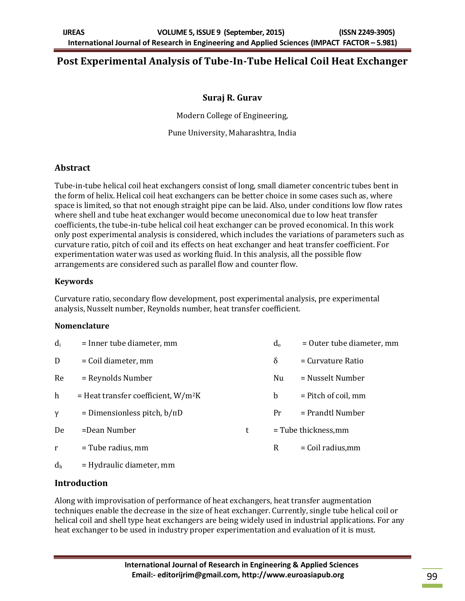# **Post Experimental Analysis of Tube-In-Tube Helical Coil Heat Exchanger**

### **Suraj R. Gurav**

Modern College of Engineering,

Pune University, Maharashtra, India

### **Abstract**

Tube-in-tube helical coil heat exchangers consist of long, small diameter concentric tubes bent in the form of helix. Helical coil heat exchangers can be better choice in some cases such as, where space is limited, so that not enough straight pipe can be laid. Also, under conditions low flow rates where shell and tube heat exchanger would become uneconomical due to low heat transfer coefficients, the tube-in-tube helical coil heat exchanger can be proved economical. In this work only post experimental analysis is considered, which includes the variations of parameters such as curvature ratio, pitch of coil and its effects on heat exchanger and heat transfer coefficient. For experimentation water was used as working fluid. In this analysis, all the possible flow arrangements are considered such as parallel flow and counter flow.

### **Keywords**

Curvature ratio, secondary flow development, post experimental analysis, pre experimental analysis, Nusselt number, Reynolds number, heat transfer coefficient.

#### **Nomenclature**

| $d_i$          | = Inner tube diameter, mm                         |   | $d_{0}$     | = Outer tube diameter, mm |
|----------------|---------------------------------------------------|---|-------------|---------------------------|
| D              | = Coil diameter, mm                               |   | δ           | = Curvature Ratio         |
| Re             | = Reynolds Number                                 |   | Nu          | = Nusselt Number          |
| h              | $=$ Heat transfer coefficient, W/m <sup>2</sup> K |   | $\mathbf b$ | = Pitch of coil, mm       |
| $\gamma$       | = Dimensionless pitch, $b/\pi D$                  |   | Pr          | = Prandtl Number          |
| De             | =Dean Number                                      | t |             | = Tube thickness, mm      |
| r              | $=$ Tube radius, mm                               |   | R           | $=$ Coil radius, mm       |
| d <sub>h</sub> | $=$ Hydraulic diameter, mm                        |   |             |                           |

## **Introduction**

Along with improvisation of performance of heat exchangers, heat transfer augmentation techniques enable the decrease in the size of heat exchanger. Currently, single tube helical coil or helical coil and shell type heat exchangers are being widely used in industrial applications. For any heat exchanger to be used in industry proper experimentation and evaluation of it is must.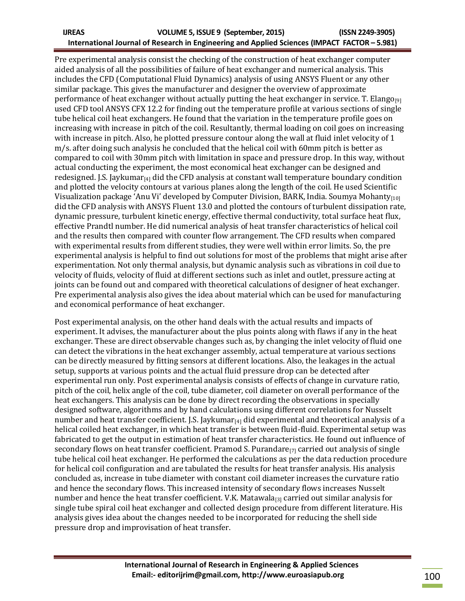#### **IJREAS VOLUME 5, ISSUE 9 (September, 2015) (ISSN 2249-3905) International Journal of Research in Engineering and Applied Sciences (IMPACT FACTOR – 5.981)**

Pre experimental analysis consist the checking of the construction of heat exchanger computer aided analysis of all the possibilities of failure of heat exchanger and numerical analysis. This includes the CFD (Computational Fluid Dynamics) analysis of using ANSYS Fluent or any other similar package. This gives the manufacturer and designer the overview of approximate performance of heat exchanger without actually putting the heat exchanger in service. T. Elango<sub>[9]</sub> used CFD tool ANSYS CFX 12.2 for finding out the temperature profile at various sections of single tube helical coil heat exchangers. He found that the variation in the temperature profile goes on increasing with increase in pitch of the coil. Resultantly, thermal loading on coil goes on increasing with increase in pitch. Also, he plotted pressure contour along the wall at fluid inlet velocity of 1 m/s. after doing such analysis he concluded that the helical coil with 60mm pitch is better as compared to coil with 30mm pitch with limitation in space and pressure drop. In this way, without actual conducting the experiment, the most economical heat exchanger can be designed and redesigned. I.S. Jaykumar $_{[4]}$  did the CFD analysis at constant wall temperature boundary condition and plotted the velocity contours at various planes along the length of the coil. He used Scientific Visualization package 'Anu Vi' developed by Computer Division, BARK, India. Soumya Mohanty $_{110}$ did the CFD analysis with ANSYS Fluent 13.0 and plotted the contours of turbulent dissipation rate, dynamic pressure, turbulent kinetic energy, effective thermal conductivity, total surface heat flux, effective Prandtl number. He did numerical analysis of heat transfer characteristics of helical coil and the results then compared with counter flow arrangement. The CFD results when compared with experimental results from different studies, they were well within error limits. So, the pre experimental analysis is helpful to find out solutions for most of the problems that might arise after experimentation. Not only thermal analysis, but dynamic analysis such as vibrations in coil due to velocity of fluids, velocity of fluid at different sections such as inlet and outlet, pressure acting at joints can be found out and compared with theoretical calculations of designer of heat exchanger. Pre experimental analysis also gives the idea about material which can be used for manufacturing and economical performance of heat exchanger.

Post experimental analysis, on the other hand deals with the actual results and impacts of experiment. It advises, the manufacturer about the plus points along with flaws if any in the heat exchanger. These are direct observable changes such as, by changing the inlet velocity of fluid one can detect the vibrations in the heat exchanger assembly, actual temperature at various sections can be directly measured by fitting sensors at different locations. Also, the leakages in the actual setup, supports at various points and the actual fluid pressure drop can be detected after experimental run only. Post experimental analysis consists of effects of change in curvature ratio, pitch of the coil, helix angle of the coil, tube diameter, coil diameter on overall performance of the heat exchangers. This analysis can be done by direct recording the observations in specially designed software, algorithms and by hand calculations using different correlations for Nusselt number and heat transfer coefficient. J.S. Jaykumar $_{[4]}$  did experimental and theoretical analysis of a helical coiled heat exchanger, in which heat transfer is between fluid-fluid. Experimental setup was fabricated to get the output in estimation of heat transfer characteristics. He found out influence of secondary flows on heat transfer coefficient. Pramod S. Purandare $_{[7]}$  carried out analysis of single tube helical coil heat exchanger. He performed the calculations as per the data reduction procedure for helical coil configuration and are tabulated the results for heat transfer analysis. His analysis concluded as, increase in tube diameter with constant coil diameter increases the curvature ratio and hence the secondary flows. This increased intensity of secondary flows increases Nusselt number and hence the heat transfer coefficient. V.K. Matawala<sub>[3]</sub> carried out similar analysis for single tube spiral coil heat exchanger and collected design procedure from different literature. His analysis gives idea about the changes needed to be incorporated for reducing the shell side pressure drop and improvisation of heat transfer.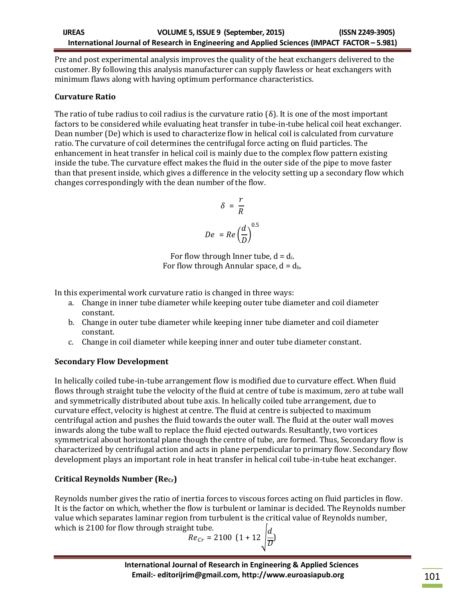Pre and post experimental analysis improves the quality of the heat exchangers delivered to the customer. By following this analysis manufacturer can supply flawless or heat exchangers with minimum flaws along with having optimum performance characteristics.

### **Curvature Ratio**

The ratio of tube radius to coil radius is the curvature ratio ( $\delta$ ). It is one of the most important factors to be considered while evaluating heat transfer in tube-in-tube helical coil heat exchanger. Dean number (De) which is used to characterize flow in helical coil is calculated from curvature ratio. The curvature of coil determines the centrifugal force acting on fluid particles. The enhancement in heat transfer in helical coil is mainly due to the complex flow pattern existing inside the tube. The curvature effect makes the fluid in the outer side of the pipe to move faster than that present inside, which gives a difference in the velocity setting up a secondary flow which changes correspondingly with the dean number of the flow.

$$
\delta = \frac{r}{R}
$$

$$
De = Re\left(\frac{d}{D}\right)^{0.5}
$$

For flow through Inner tube,  $d = d_i$ . For flow through Annular space,  $d = d_h$ .

In this experimental work curvature ratio is changed in three ways:

- a. Change in inner tube diameter while keeping outer tube diameter and coil diameter constant.
- b. Change in outer tube diameter while keeping inner tube diameter and coil diameter constant.
- c. Change in coil diameter while keeping inner and outer tube diameter constant.

## **Secondary Flow Development**

In helically coiled tube-in-tube arrangement flow is modified due to curvature effect. When fluid flows through straight tube the velocity of the fluid at centre of tube is maximum, zero at tube wall and symmetrically distributed about tube axis. In helically coiled tube arrangement, due to curvature effect, velocity is highest at centre. The fluid at centre is subjected to maximum centrifugal action and pushes the fluid towards the outer wall. The fluid at the outer wall moves inwards along the tube wall to replace the fluid ejected outwards. Resultantly, two vortices symmetrical about horizontal plane though the centre of tube, are formed. Thus, Secondary flow is characterized by centrifugal action and acts in plane perpendicular to primary flow. Secondary flow development plays an important role in heat transfer in helical coil tube-in-tube heat exchanger.

## **Critical Reynolds Number (Recr)**

Reynolds number gives the ratio of inertia forces to viscous forces acting on fluid particles in flow. It is the factor on which, whether the flow is turbulent or laminar is decided. The Reynolds number value which separates laminar region from turbulent is the critical value of Reynolds number, which is 2100 for flow through straight tube

$$
Re_{Cr} = 2100 \left(1 + 12 \sqrt{\frac{d}{D}}\right)
$$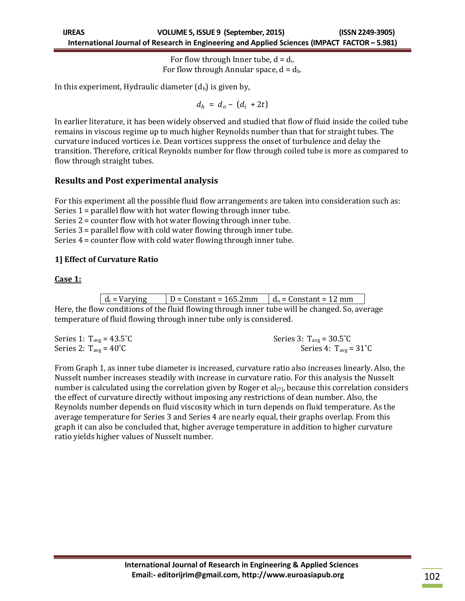For flow through Inner tube,  $d = d_i$ . For flow through Annular space,  $d = d_h$ .

In this experiment, Hydraulic diameter  $(d<sub>h</sub>)$  is given by,

 $d_h = d_o - (d_i + 2t)$ 

In earlier literature, it has been widely observed and studied that flow of fluid inside the coiled tube remains in viscous regime up to much higher Reynolds number than that for straight tubes. The curvature induced vortices i.e. Dean vortices suppress the onset of turbulence and delay the transition. Therefore, critical Reynolds number for flow through coiled tube is more as compared to flow through straight tubes.

## **Results and Post experimental analysis**

For this experiment all the possible fluid flow arrangements are taken into consideration such as: Series 1 = parallel flow with hot water flowing through inner tube. Series 2 = counter flow with hot water flowing through inner tube. Series 3 = parallel flow with cold water flowing through inner tube. Series 4 = counter flow with cold water flowing through inner tube.

### **1] Effect of Curvature Ratio**

#### **Case 1:**

| $D =$ Constant = 165.2mm<br>$d_i$ = Varying<br>$d_0$ = Constant = 12 mm |
|-------------------------------------------------------------------------|
|-------------------------------------------------------------------------|

Here, the flow conditions of the fluid flowing through inner tube will be changed. So, average temperature of fluid flowing through inner tube only is considered.

| Series 1: $T_{avg} = 43.5^{\circ}C$ | Series 3: $T_{avg} = 30.5^{\circ}C$ |
|-------------------------------------|-------------------------------------|
| Series 2: $T_{avg} = 40^{\circ}C$   | Series 4: $T_{avg} = 31^{\circ}C$   |

From Graph 1, as inner tube diameter is increased, curvature ratio also increases linearly. Also, the Nusselt number increases steadily with increase in curvature ratio. For this analysis the Nusselt number is calculated using the correlation given by Roger et  $al_{[7]}$ , because this correlation considers the effect of curvature directly without imposing any restrictions of dean number. Also, the Reynolds number depends on fluid viscosity which in turn depends on fluid temperature. As the average temperature for Series 3 and Series 4 are nearly equal, their graphs overlap. From this graph it can also be concluded that, higher average temperature in addition to higher curvature ratio yields higher values of Nusselt number.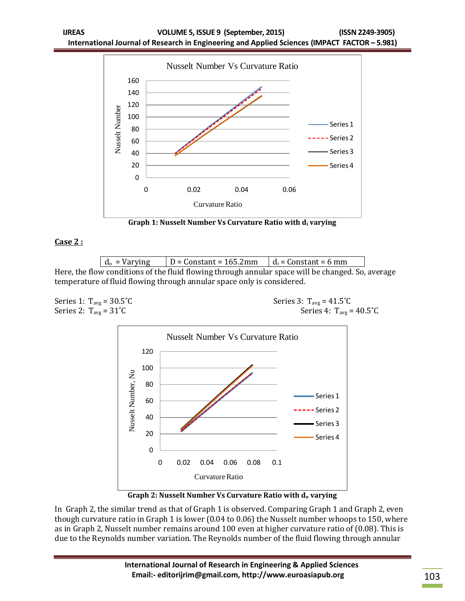

**Graph 1: Nusselt Number Vs Curvature Ratio with d<sup>i</sup> varying**

#### **Case 2 :**

 $d_0$  = Varying  $\vert D =$  Constant = 165.2mm  $\vert d_i$  = Constant = 6 mm Here, the flow conditions of the fluid flowing through annular space will be changed. So, average temperature of fluid flowing through annular space only is considered.



In Graph 2, the similar trend as that of Graph 1 is observed. Comparing Graph 1 and Graph 2, even though curvature ratio in Graph 1 is lower (0.04 to 0.06) the Nusselt number whoops to 150, where as in Graph 2, Nusselt number remains around 100 even at higher curvature ratio of (0.08). This is due to the Reynolds number variation. The Reynolds number of the fluid flowing through annular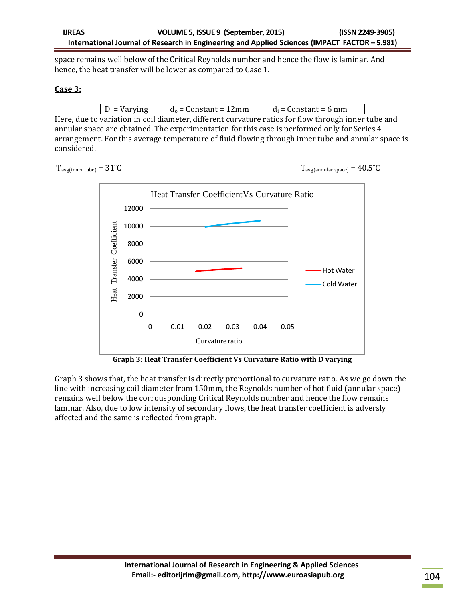space remains well below of the Critical Reynolds number and hence the flow is laminar. And hence, the heat transfer will be lower as compared to Case 1.

#### **Case 3:**

Here, due to variation in coil diameter, different curvature ratios for flow through inner tube and annular space are obtained. The experimentation for this case is performed only for Series 4 arrangement. For this average temperature of fluid flowing through inner tube and annular space is considered.

 $T_{\text{avg}(\text{inner tube})} = 31^{\circ}\text{C}$   $T_{\text{avg}(\text{annular space})} = 40.5^{\circ}\text{C}$ 



**Graph 3: Heat Transfer Coefficient Vs Curvature Ratio with D varying**

Graph 3 shows that, the heat transfer is directly proportional to curvature ratio. As we go down the line with increasing coil diameter from 150mm, the Reynolds number of hot fluid (annular space) remains well below the corrousponding Critical Reynolds number and hence the flow remains laminar. Also, due to low intensity of secondary flows, the heat transfer coefficient is adversly affected and the same is reflected from graph.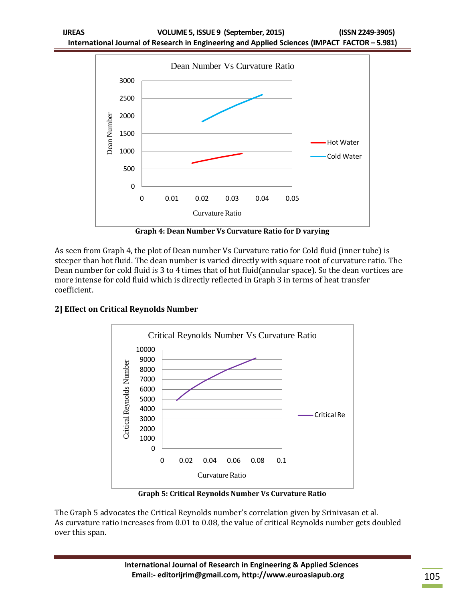

**Graph 4: Dean Number Vs Curvature Ratio for D varying**

As seen from Graph 4, the plot of Dean number Vs Curvature ratio for Cold fluid (inner tube) is steeper than hot fluid. The dean number is varied directly with square root of curvature ratio. The Dean number for cold fluid is 3 to 4 times that of hot fluid(annular space). So the dean vortices are more intense for cold fluid which is directly reflected in Graph 3 in terms of heat transfer coefficient.



## **2] Effect on Critical Reynolds Number**

**Graph 5: Critical Reynolds Number Vs Curvature Ratio**

The Graph 5 advocates the Critical Reynolds number's correlation given by Srinivasan et al. As curvature ratio increases from 0.01 to 0.08, the value of critical Reynolds number gets doubled over this span.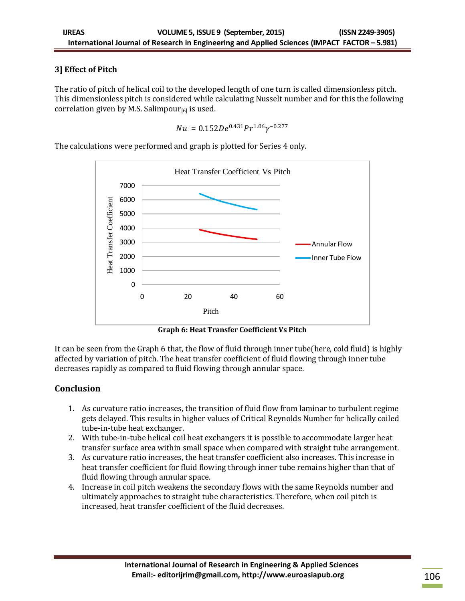## **3] Effect of Pitch**

The ratio of pitch of helical coil to the developed length of one turn is called dimensionless pitch. This dimensionless pitch is considered while calculating Nusselt number and for this the following correlation given by M.S. Salimpour $_{[6]}$  is used.

$$
Nu = 0.152De^{0.431}Pr^{1.06}\gamma^{-0.277}
$$

The calculations were performed and graph is plotted for Series 4 only.



**Graph 6: Heat Transfer Coefficient Vs Pitch**

It can be seen from the Graph 6 that, the flow of fluid through inner tube(here, cold fluid) is highly affected by variation of pitch. The heat transfer coefficient of fluid flowing through inner tube decreases rapidly as compared to fluid flowing through annular space.

## **Conclusion**

- 1. As curvature ratio increases, the transition of fluid flow from laminar to turbulent regime gets delayed. This results in higher values of Critical Reynolds Number for helically coiled tube-in-tube heat exchanger.
- 2. With tube-in-tube helical coil heat exchangers it is possible to accommodate larger heat transfer surface area within small space when compared with straight tube arrangement.
- 3. As curvature ratio increases, the heat transfer coefficient also increases. This increase in heat transfer coefficient for fluid flowing through inner tube remains higher than that of fluid flowing through annular space.
- 4. Increase in coil pitch weakens the secondary flows with the same Reynolds number and ultimately approaches to straight tube characteristics. Therefore, when coil pitch is increased, heat transfer coefficient of the fluid decreases.